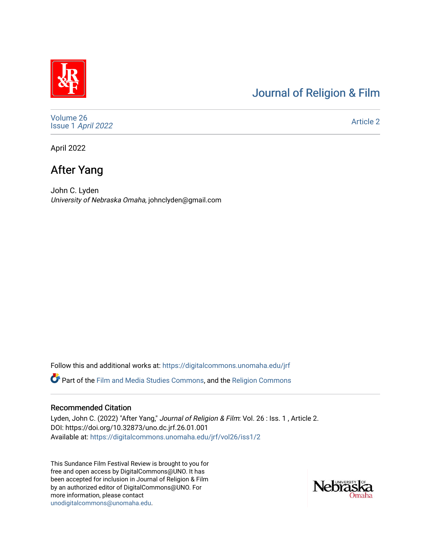# [Journal of Religion & Film](https://digitalcommons.unomaha.edu/jrf)

[Volume 26](https://digitalcommons.unomaha.edu/jrf/vol26) Issue 1 [April 2022](https://digitalcommons.unomaha.edu/jrf/vol26/iss1) 

[Article 2](https://digitalcommons.unomaha.edu/jrf/vol26/iss1/2) 

April 2022

# After Yang

John C. Lyden University of Nebraska Omaha, johnclyden@gmail.com

Follow this and additional works at: [https://digitalcommons.unomaha.edu/jrf](https://digitalcommons.unomaha.edu/jrf?utm_source=digitalcommons.unomaha.edu%2Fjrf%2Fvol26%2Fiss1%2F2&utm_medium=PDF&utm_campaign=PDFCoverPages) Part of the [Film and Media Studies Commons,](http://network.bepress.com/hgg/discipline/563?utm_source=digitalcommons.unomaha.edu%2Fjrf%2Fvol26%2Fiss1%2F2&utm_medium=PDF&utm_campaign=PDFCoverPages) and the [Religion Commons](http://network.bepress.com/hgg/discipline/538?utm_source=digitalcommons.unomaha.edu%2Fjrf%2Fvol26%2Fiss1%2F2&utm_medium=PDF&utm_campaign=PDFCoverPages) 

#### Recommended Citation

Lyden, John C. (2022) "After Yang," Journal of Religion & Film: Vol. 26 : Iss. 1, Article 2. DOI: https://doi.org/10.32873/uno.dc.jrf.26.01.001 Available at: [https://digitalcommons.unomaha.edu/jrf/vol26/iss1/2](https://digitalcommons.unomaha.edu/jrf/vol26/iss1/2?utm_source=digitalcommons.unomaha.edu%2Fjrf%2Fvol26%2Fiss1%2F2&utm_medium=PDF&utm_campaign=PDFCoverPages)

This Sundance Film Festival Review is brought to you for free and open access by DigitalCommons@UNO. It has been accepted for inclusion in Journal of Religion & Film by an authorized editor of DigitalCommons@UNO. For more information, please contact [unodigitalcommons@unomaha.edu.](mailto:unodigitalcommons@unomaha.edu)

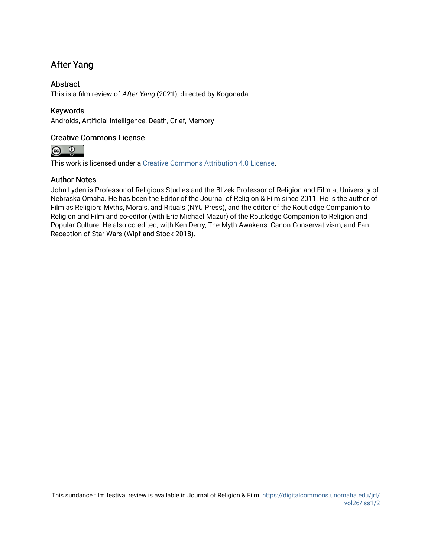### After Yang

### **Abstract**

This is a film review of After Yang (2021), directed by Kogonada.

### Keywords

Androids, Artificial Intelligence, Death, Grief, Memory

### Creative Commons License



This work is licensed under a [Creative Commons Attribution 4.0 License](https://creativecommons.org/licenses/by/4.0/).

#### Author Notes

John Lyden is Professor of Religious Studies and the Blizek Professor of Religion and Film at University of Nebraska Omaha. He has been the Editor of the Journal of Religion & Film since 2011. He is the author of Film as Religion: Myths, Morals, and Rituals (NYU Press), and the editor of the Routledge Companion to Religion and Film and co-editor (with Eric Michael Mazur) of the Routledge Companion to Religion and Popular Culture. He also co-edited, with Ken Derry, The Myth Awakens: Canon Conservativism, and Fan Reception of Star Wars (Wipf and Stock 2018).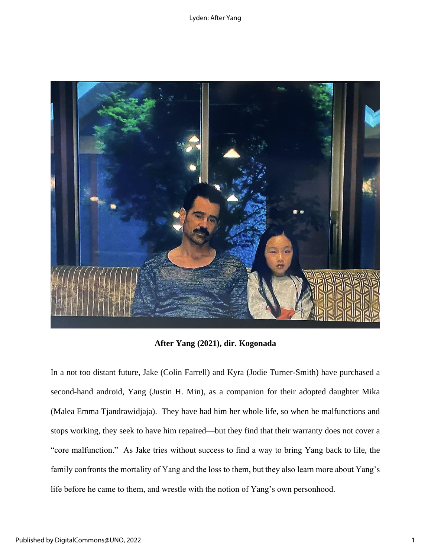Lyden: After Yang



**After Yang (2021), dir. Kogonada**

In a not too distant future, Jake (Colin Farrell) and Kyra (Jodie Turner-Smith) have purchased a second-hand android, Yang (Justin H. Min), as a companion for their adopted daughter Mika (Malea Emma Tjandrawidjaja). They have had him her whole life, so when he malfunctions and stops working, they seek to have him repaired—but they find that their warranty does not cover a "core malfunction." As Jake tries without success to find a way to bring Yang back to life, the family confronts the mortality of Yang and the loss to them, but they also learn more about Yang's life before he came to them, and wrestle with the notion of Yang's own personhood.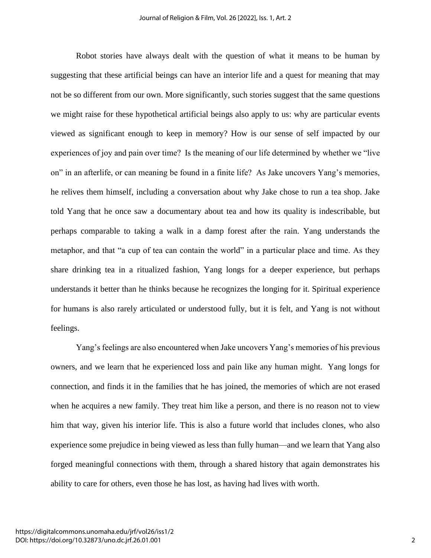Robot stories have always dealt with the question of what it means to be human by suggesting that these artificial beings can have an interior life and a quest for meaning that may not be so different from our own. More significantly, such stories suggest that the same questions we might raise for these hypothetical artificial beings also apply to us: why are particular events viewed as significant enough to keep in memory? How is our sense of self impacted by our experiences of joy and pain over time? Is the meaning of our life determined by whether we "live on" in an afterlife, or can meaning be found in a finite life? As Jake uncovers Yang's memories, he relives them himself, including a conversation about why Jake chose to run a tea shop. Jake told Yang that he once saw a documentary about tea and how its quality is indescribable, but perhaps comparable to taking a walk in a damp forest after the rain. Yang understands the metaphor, and that "a cup of tea can contain the world" in a particular place and time. As they share drinking tea in a ritualized fashion, Yang longs for a deeper experience, but perhaps understands it better than he thinks because he recognizes the longing for it. Spiritual experience for humans is also rarely articulated or understood fully, but it is felt, and Yang is not without feelings.

Yang's feelings are also encountered when Jake uncovers Yang's memories of his previous owners, and we learn that he experienced loss and pain like any human might. Yang longs for connection, and finds it in the families that he has joined, the memories of which are not erased when he acquires a new family. They treat him like a person, and there is no reason not to view him that way, given his interior life. This is also a future world that includes clones, who also experience some prejudice in being viewed as less than fully human—and we learn that Yang also forged meaningful connections with them, through a shared history that again demonstrates his ability to care for others, even those he has lost, as having had lives with worth.